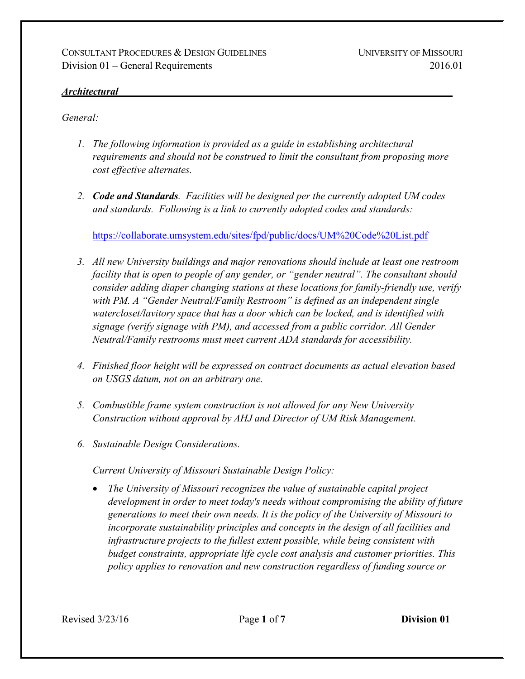#### *Architectural*

*General:*

- *1. The following information is provided as a guide in establishing architectural requirements and should not be construed to limit the consultant from proposing more cost effective alternates.*
- *2. Code and Standards. Facilities will be designed per the currently adopted UM codes and standards. Following is a link to currently adopted codes and standards:*

<https://collaborate.umsystem.edu/sites/fpd/public/docs/UM%20Code%20List.pdf>

- *3. All new University buildings and major renovations should include at least one restroom facility that is open to people of any gender, or "gender neutral". The consultant should consider adding diaper changing stations at these locations for family-friendly use, verify with PM. A "Gender Neutral/Family Restroom" is defined as an independent single watercloset/lavitory space that has a door which can be locked, and is identified with signage (verify signage with PM), and accessed from a public corridor. All Gender Neutral/Family restrooms must meet current ADA standards for accessibility.*
- *4. Finished floor height will be expressed on contract documents as actual elevation based on USGS datum, not on an arbitrary one.*
- *5. Combustible frame system construction is not allowed for any New University Construction without approval by AHJ and Director of UM Risk Management.*
- *6. Sustainable Design Considerations.*

*Current University of Missouri Sustainable Design Policy:*

• *The University of Missouri recognizes the value of sustainable capital project development in order to meet today's needs without compromising the ability of future generations to meet their own needs. It is the policy of the University of Missouri to incorporate sustainability principles and concepts in the design of all facilities and infrastructure projects to the fullest extent possible, while being consistent with budget constraints, appropriate life cycle cost analysis and customer priorities. This policy applies to renovation and new construction regardless of funding source or*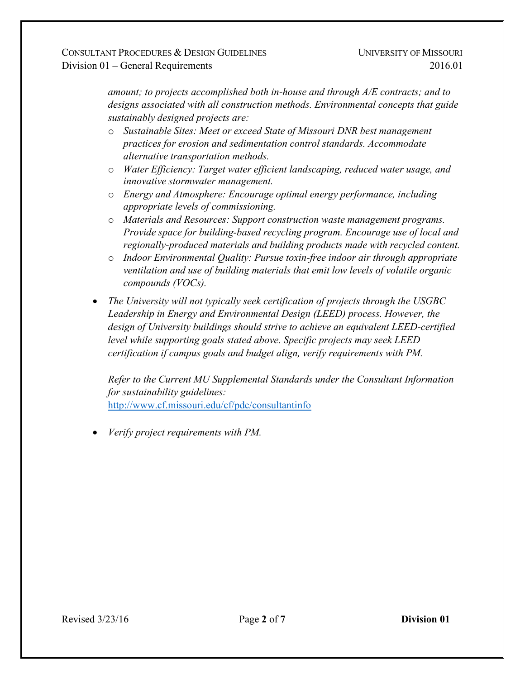*amount; to projects accomplished both in-house and through A/E contracts; and to designs associated with all construction methods. Environmental concepts that guide sustainably designed projects are:*

- o *Sustainable Sites: Meet or exceed State of Missouri DNR best management practices for erosion and sedimentation control standards. Accommodate alternative transportation methods.*
- o *Water Efficiency: Target water efficient landscaping, reduced water usage, and innovative stormwater management.*
- o *Energy and Atmosphere: Encourage optimal energy performance, including appropriate levels of commissioning.*
- o *Materials and Resources: Support construction waste management programs. Provide space for building-based recycling program. Encourage use of local and regionally-produced materials and building products made with recycled content.*
- o *Indoor Environmental Quality: Pursue toxin-free indoor air through appropriate ventilation and use of building materials that emit low levels of volatile organic compounds (VOCs).*
- *The University will not typically seek certification of projects through the USGBC Leadership in Energy and Environmental Design (LEED) process. However, the design of University buildings should strive to achieve an equivalent LEED-certified level while supporting goals stated above. Specific projects may seek LEED certification if campus goals and budget align, verify requirements with PM.*

*Refer to the Current MU Supplemental Standards under the Consultant Information for sustainability guidelines:* <http://www.cf.missouri.edu/cf/pdc/consultantinfo>

• *Verify project requirements with PM.*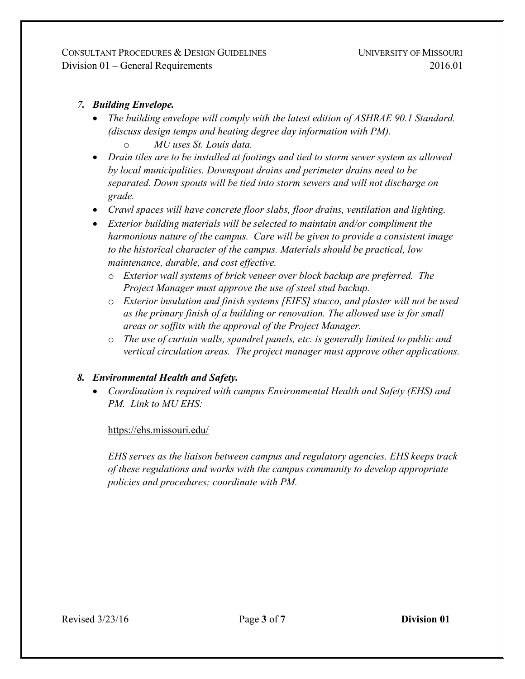CONSULTANT PROCEDURES & DESIGN GUIDELINES Division 01 – General Requirements

### *7. Building Envelope.*

- *The building envelope will comply with the latest edition of ASHRAE 90.1 Standard. (discuss design temps and heating degree day information with PM).*
	- o *MU uses St. Louis data.*
- *Drain tiles are to be installed at footings and tied to storm sewer system as allowed by local municipalities. Downspout drains and perimeter drains need to be separated. Down spouts will be tied into storm sewers and will not discharge on grade.*
- *Crawl spaces will have concrete floor slabs, floor drains, ventilation and lighting.*
- *Exterior building materials will be selected to maintain and/or compliment the harmonious nature of the campus. Care will be given to provide a consistent image to the historical character of the campus. Materials should be practical, low maintenance, durable, and cost effective.*
	- o *Exterior wall systems of brick veneer over block backup are preferred. The Project Manager must approve the use of steel stud backup.*
	- o *Exterior insulation and finish systems [EIFS] stucco, and plaster will not be used as the primary finish of a building or renovation. The allowed use is for small areas or soffits with the approval of the Project Manager.*
	- o *The use of curtain walls, spandrel panels, etc. is generally limited to public and vertical circulation areas. The project manager must approve other applications.*

# *8. Environmental Health and Safety.*

• *Coordination is required with campus Environmental Health and Safety (EHS) and PM. Link to MU EHS:*

### <https://ehs.missouri.edu/>

*EHS serves as the liaison between campus and regulatory agencies. EHS keeps track of these regulations and works with the campus community to develop appropriate policies and procedures; coordinate with PM.*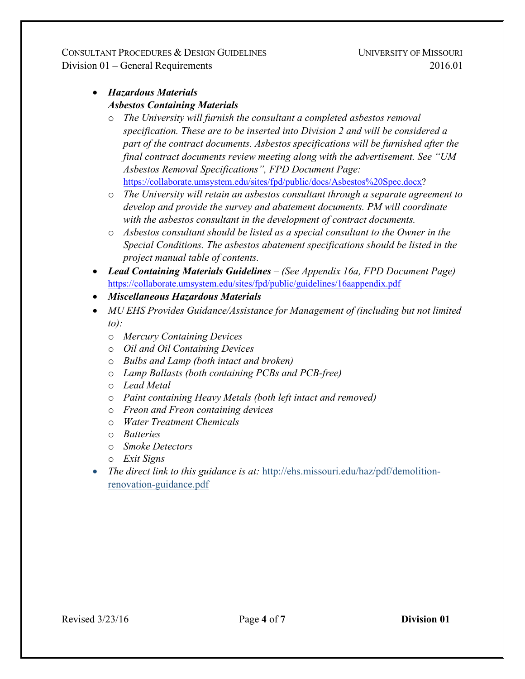CONSULTANT PROCEDURES & DESIGN GUIDELINES Division 01 – General Requirements

# • *Hazardous Materials Asbestos Containing Materials*

- o *The University will furnish the consultant a completed asbestos removal specification. These are to be inserted into Division 2 and will be considered a part of the contract documents. Asbestos specifications will be furnished after the final contract documents review meeting along with the advertisement. See "UM Asbestos Removal Specifications", FPD Document Page:* [https://collaborate.umsystem.edu/sites/fpd/public/docs/Asbestos%20Spec.docx?](https://collaborate.umsystem.edu/sites/fpd/public/docs/Asbestos%20Spec.docx)
- o *The University will retain an asbestos consultant through a separate agreement to develop and provide the survey and abatement documents. PM will coordinate with the asbestos consultant in the development of contract documents.*
- o *Asbestos consultant should be listed as a special consultant to the Owner in the Special Conditions. The asbestos abatement specifications should be listed in the project manual table of contents.*
- *Lead Containing Materials Guidelines – (See Appendix 16a, FPD Document Page)* <https://collaborate.umsystem.edu/sites/fpd/public/guidelines/16aappendix.pdf>
- *Miscellaneous Hazardous Materials*
- *MU EHS Provides Guidance/Assistance for Management of (including but not limited to):*
	- o *Mercury Containing Devices*
	- o *Oil and Oil Containing Devices*
	- o *Bulbs and Lamp (both intact and broken)*
	- o *Lamp Ballasts (both containing PCBs and PCB-free)*
	- o *Lead Metal*
	- o *Paint containing Heavy Metals (both left intact and removed)*
	- o *Freon and Freon containing devices*
	- o *Water Treatment Chemicals*
	- o *Batteries*
	- o *Smoke Detectors*
	- o *Exit Signs*
- *The direct link to this guidance is at:* [http://ehs.missouri.edu/haz/pdf/demolition](http://ehs.missouri.edu/haz/pdf/demolition-renovation-guidance.pdf)[renovation-guidance.pdf](http://ehs.missouri.edu/haz/pdf/demolition-renovation-guidance.pdf)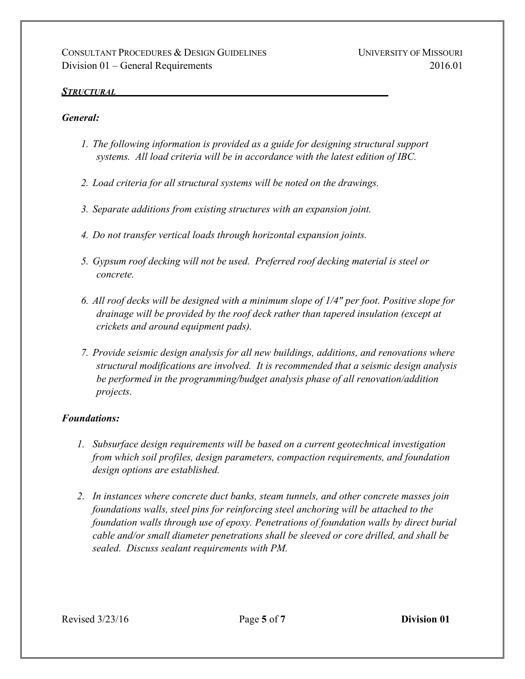#### *STRUCTURAL*

#### *General:*

- *1. The following information is provided as a guide for designing structural support systems. All load criteria will be in accordance with the latest edition of IBC.*
- *2. Load criteria for all structural systems will be noted on the drawings.*
- *3. Separate additions from existing structures with an expansion joint.*
- *4. Do not transfer vertical loads through horizontal expansion joints.*
- *5. Gypsum roof decking will not be used. Preferred roof decking material is steel or concrete.*
- *6. All roof decks will be designed with a minimum slope of 1/4" per foot. Positive slope for drainage will be provided by the roof deck rather than tapered insulation (except at crickets and around equipment pads).*
- *7. Provide seismic design analysis for all new buildings, additions, and renovations where structural modifications are involved. It is recommended that a seismic design analysis be performed in the programming/budget analysis phase of all renovation/addition projects.*

#### *Foundations:*

- *1. Subsurface design requirements will be based on a current geotechnical investigation from which soil profiles, design parameters, compaction requirements, and foundation design options are established.*
- *2. In instances where concrete duct banks, steam tunnels, and other concrete masses join foundations walls, steel pins for reinforcing steel anchoring will be attached to the foundation walls through use of epoxy. Penetrations of foundation walls by direct burial cable and/or small diameter penetrations shall be sleeved or core drilled, and shall be sealed. Discuss sealant requirements with PM.*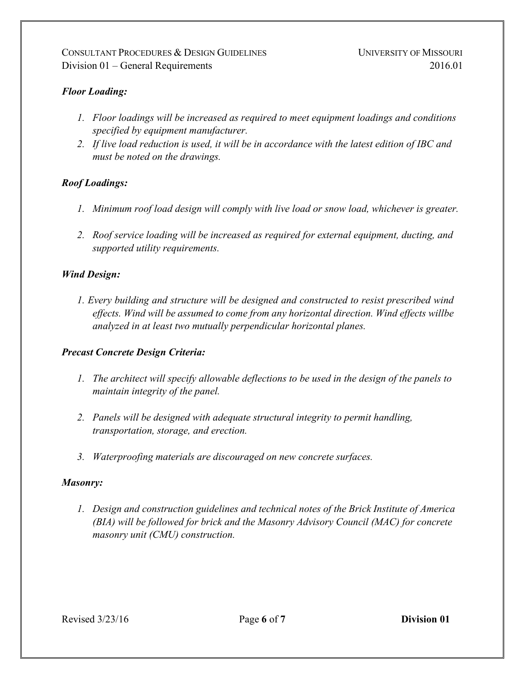### *Floor Loading:*

- *1. Floor loadings will be increased as required to meet equipment loadings and conditions specified by equipment manufacturer.*
- *2. If live load reduction is used, it will be in accordance with the latest edition of IBC and must be noted on the drawings.*

### *Roof Loadings:*

- *1. Minimum roof load design will comply with live load or snow load, whichever is greater.*
- *2. Roof service loading will be increased as required for external equipment, ducting, and supported utility requirements.*

#### *Wind Design:*

*1. Every building and structure will be designed and constructed to resist prescribed wind effects. Wind will be assumed to come from any horizontal direction. Wind effects willbe analyzed in at least two mutually perpendicular horizontal planes.*

#### *Precast Concrete Design Criteria:*

- *1. The architect will specify allowable deflections to be used in the design of the panels to maintain integrity of the panel.*
- *2. Panels will be designed with adequate structural integrity to permit handling, transportation, storage, and erection.*
- *3. Waterproofing materials are discouraged on new concrete surfaces.*

#### *Masonry:*

*1. Design and construction guidelines and technical notes of the Brick Institute of America (BIA) will be followed for brick and the Masonry Advisory Council (MAC) for concrete masonry unit (CMU) construction.*